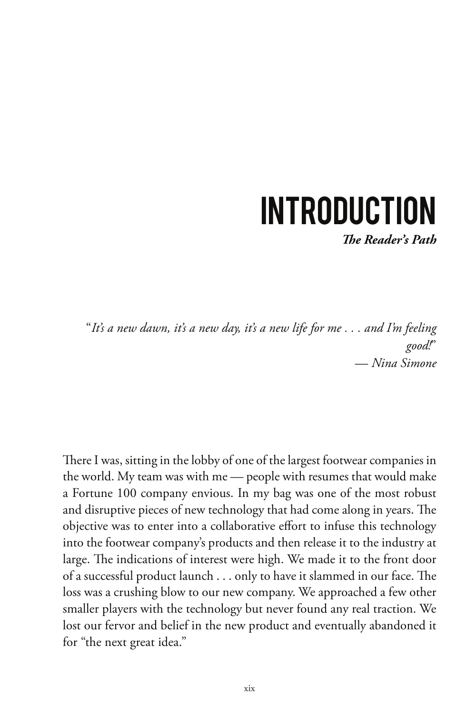# INTRODUCTION

*!e Reader's Path*

"*It's a new dawn, it's a new day, it's a new life for me . . . and I'm feeling good!*" — *Nina Simone*

There I was, sitting in the lobby of one of the largest footwear companies in the world. My team was with me — people with resumes that would make a Fortune 100 company envious. In my bag was one of the most robust and disruptive pieces of new technology that had come along in years. The objective was to enter into a collaborative effort to infuse this technology into the footwear company's products and then release it to the industry at large. The indications of interest were high. We made it to the front door of a successful product launch  $\dots$  only to have it slammed in our face. The loss was a crushing blow to our new company. We approached a few other smaller players with the technology but never found any real traction. We lost our fervor and belief in the new product and eventually abandoned it for "the next great idea."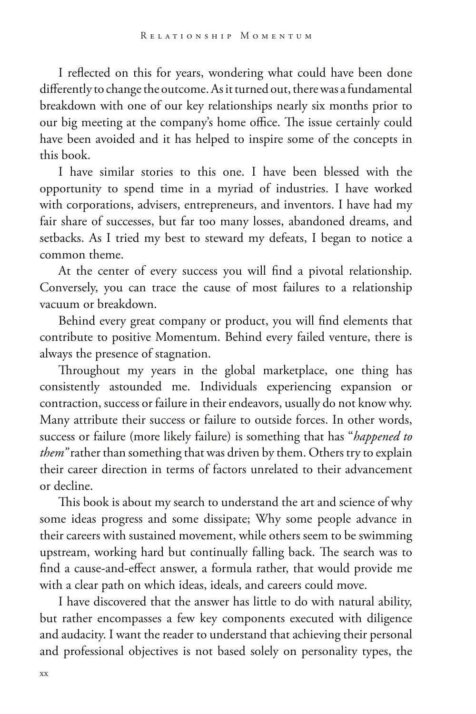I reflected on this for years, wondering what could have been done differently to change the outcome. As it turned out, there was a fundamental breakdown with one of our key relationships nearly six months prior to our big meeting at the company's home office. The issue certainly could have been avoided and it has helped to inspire some of the concepts in this book.

I have similar stories to this one. I have been blessed with the opportunity to spend time in a myriad of industries. I have worked with corporations, advisers, entrepreneurs, and inventors. I have had my fair share of successes, but far too many losses, abandoned dreams, and setbacks. As I tried my best to steward my defeats, I began to notice a common theme.

At the center of every success you will find a pivotal relationship. Conversely, you can trace the cause of most failures to a relationship vacuum or breakdown.

Behind every great company or product, you will find elements that contribute to positive Momentum. Behind every failed venture, there is always the presence of stagnation.

Throughout my years in the global marketplace, one thing has consistently astounded me. Individuals experiencing expansion or contraction, success or failure in their endeavors, usually do not know why. Many attribute their success or failure to outside forces. In other words, success or failure (more likely failure) is something that has "*happened to them"* rather than something that was driven by them. Others try to explain their career direction in terms of factors unrelated to their advancement or decline.

This book is about my search to understand the art and science of why some ideas progress and some dissipate; Why some people advance in their careers with sustained movement, while others seem to be swimming upstream, working hard but continually falling back. The search was to find a cause-and-effect answer, a formula rather, that would provide me with a clear path on which ideas, ideals, and careers could move.

I have discovered that the answer has little to do with natural ability, but rather encompasses a few key components executed with diligence and audacity. I want the reader to understand that achieving their personal and professional objectives is not based solely on personality types, the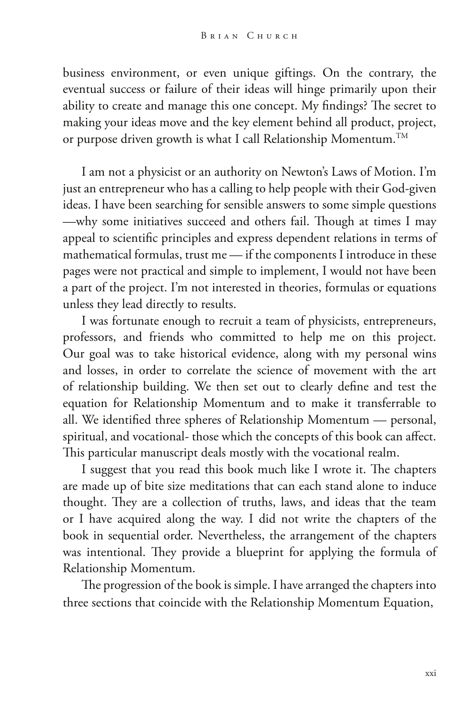business environment, or even unique giftings. On the contrary, the eventual success or failure of their ideas will hinge primarily upon their ability to create and manage this one concept. My findings? The secret to making your ideas move and the key element behind all product, project, or purpose driven growth is what I call Relationship Momentum.TM

I am not a physicist or an authority on Newton's Laws of Motion. I'm just an entrepreneur who has a calling to help people with their God-given ideas. I have been searching for sensible answers to some simple questions —why some initiatives succeed and others fail. Though at times I may appeal to scientific principles and express dependent relations in terms of mathematical formulas, trust me — if the components I introduce in these pages were not practical and simple to implement, I would not have been a part of the project. I'm not interested in theories, formulas or equations unless they lead directly to results.

I was fortunate enough to recruit a team of physicists, entrepreneurs, professors, and friends who committed to help me on this project. Our goal was to take historical evidence, along with my personal wins and losses, in order to correlate the science of movement with the art of relationship building. We then set out to clearly define and test the equation for Relationship Momentum and to make it transferrable to all. We identified three spheres of Relationship Momentum — personal, spiritual, and vocational- those which the concepts of this book can affect. This particular manuscript deals mostly with the vocational realm.

I suggest that you read this book much like I wrote it. The chapters are made up of bite size meditations that can each stand alone to induce thought. They are a collection of truths, laws, and ideas that the team or I have acquired along the way. I did not write the chapters of the book in sequential order. Nevertheless, the arrangement of the chapters was intentional. They provide a blueprint for applying the formula of Relationship Momentum.

The progression of the book is simple. I have arranged the chapters into three sections that coincide with the Relationship Momentum Equation,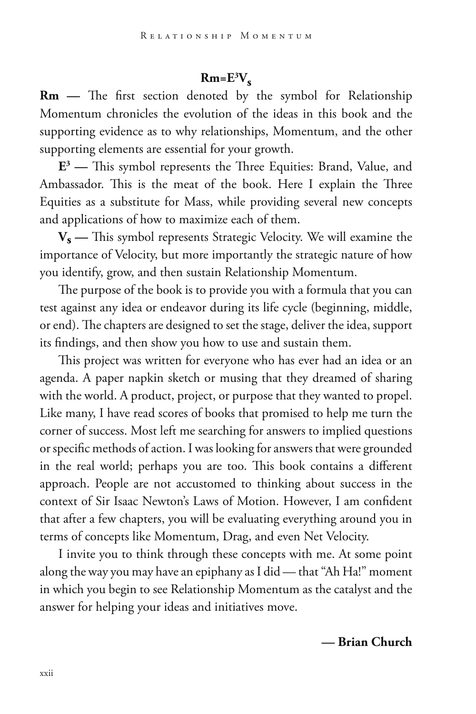### **Rm=E3 Vs**

**Rm** — The first section denoted by the symbol for Relationship Momentum chronicles the evolution of the ideas in this book and the supporting evidence as to why relationships, Momentum, and the other supporting elements are essential for your growth.

**E<sup>3</sup>** — This symbol represents the Three Equities: Brand, Value, and Ambassador. This is the meat of the book. Here I explain the Three Equities as a substitute for Mass, while providing several new concepts and applications of how to maximize each of them.

**V<sub>s</sub>** — This symbol represents Strategic Velocity. We will examine the importance of Velocity, but more importantly the strategic nature of how you identify, grow, and then sustain Relationship Momentum.

The purpose of the book is to provide you with a formula that you can test against any idea or endeavor during its life cycle (beginning, middle, or end). The chapters are designed to set the stage, deliver the idea, support its findings, and then show you how to use and sustain them.

This project was written for everyone who has ever had an idea or an agenda. A paper napkin sketch or musing that they dreamed of sharing with the world. A product, project, or purpose that they wanted to propel. Like many, I have read scores of books that promised to help me turn the corner of success. Most left me searching for answers to implied questions or specific methods of action. I was looking for answers that were grounded in the real world; perhaps you are too. This book contains a different approach. People are not accustomed to thinking about success in the context of Sir Isaac Newton's Laws of Motion. However, I am confident that after a few chapters, you will be evaluating everything around you in terms of concepts like Momentum, Drag, and even Net Velocity.

I invite you to think through these concepts with me. At some point along the way you may have an epiphany as I did — that "Ah Ha!" moment in which you begin to see Relationship Momentum as the catalyst and the answer for helping your ideas and initiatives move.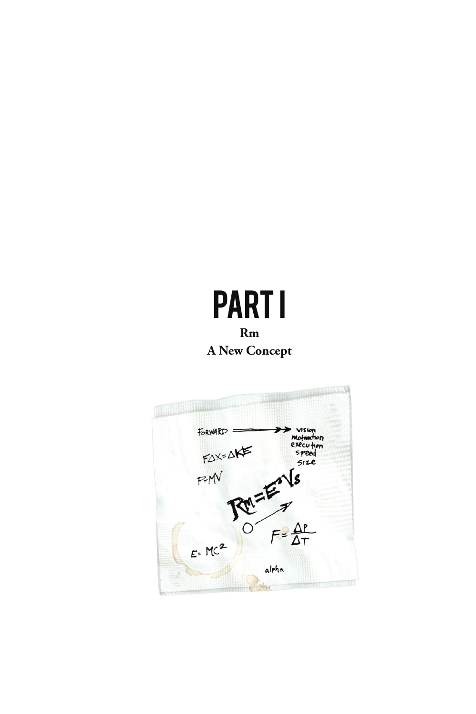### **PARTI Rm A New Concept**

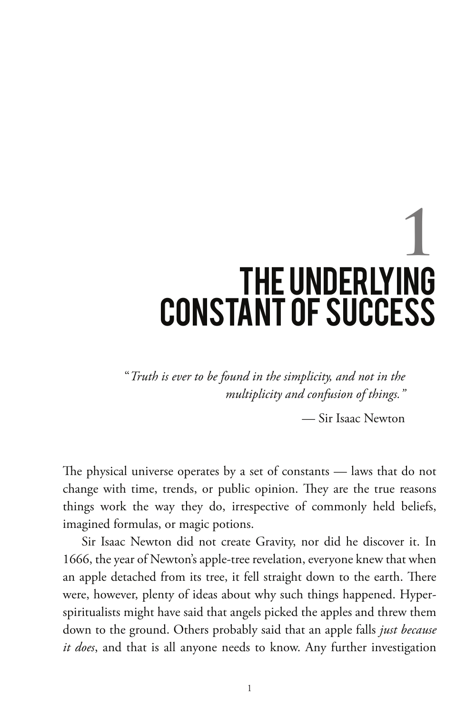## **1** THE UNDERLYING CONSTANT OF SUCCESS

"*Truth is ever to be found in the simplicity, and not in the multiplicity and confusion of things."*

— Sir Isaac Newton

The physical universe operates by a set of constants — laws that do not change with time, trends, or public opinion. They are the true reasons things work the way they do, irrespective of commonly held beliefs, imagined formulas, or magic potions.

Sir Isaac Newton did not create Gravity, nor did he discover it. In 1666, the year of Newton's apple-tree revelation, everyone knew that when an apple detached from its tree, it fell straight down to the earth. There were, however, plenty of ideas about why such things happened. Hyperspiritualists might have said that angels picked the apples and threw them down to the ground. Others probably said that an apple falls *just because it does*, and that is all anyone needs to know. Any further investigation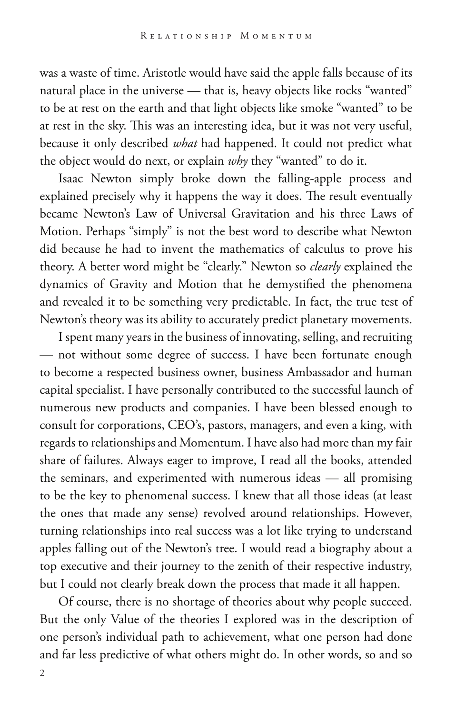was a waste of time. Aristotle would have said the apple falls because of its natural place in the universe — that is, heavy objects like rocks "wanted" to be at rest on the earth and that light objects like smoke "wanted" to be at rest in the sky. This was an interesting idea, but it was not very useful, because it only described *what* had happened. It could not predict what the object would do next, or explain *why* they "wanted" to do it.

Isaac Newton simply broke down the falling-apple process and explained precisely why it happens the way it does. The result eventually became Newton's Law of Universal Gravitation and his three Laws of Motion. Perhaps "simply" is not the best word to describe what Newton did because he had to invent the mathematics of calculus to prove his theory. A better word might be "clearly." Newton so *clearly* explained the dynamics of Gravity and Motion that he demystified the phenomena and revealed it to be something very predictable. In fact, the true test of Newton's theory was its ability to accurately predict planetary movements.

I spent many years in the business of innovating, selling, and recruiting — not without some degree of success. I have been fortunate enough to become a respected business owner, business Ambassador and human capital specialist. I have personally contributed to the successful launch of numerous new products and companies. I have been blessed enough to consult for corporations, CEO's, pastors, managers, and even a king, with regards to relationships and Momentum. I have also had more than my fair share of failures. Always eager to improve, I read all the books, attended the seminars, and experimented with numerous ideas — all promising to be the key to phenomenal success. I knew that all those ideas (at least the ones that made any sense) revolved around relationships. However, turning relationships into real success was a lot like trying to understand apples falling out of the Newton's tree. I would read a biography about a top executive and their journey to the zenith of their respective industry, but I could not clearly break down the process that made it all happen.

Of course, there is no shortage of theories about why people succeed. But the only Value of the theories I explored was in the description of one person's individual path to achievement, what one person had done and far less predictive of what others might do. In other words, so and so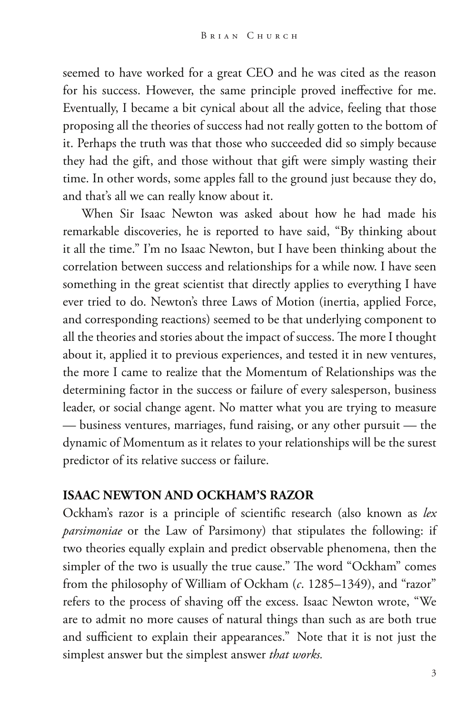seemed to have worked for a great CEO and he was cited as the reason for his success. However, the same principle proved ineffective for me. Eventually, I became a bit cynical about all the advice, feeling that those proposing all the theories of success had not really gotten to the bottom of it. Perhaps the truth was that those who succeeded did so simply because they had the gift, and those without that gift were simply wasting their time. In other words, some apples fall to the ground just because they do, and that's all we can really know about it.

When Sir Isaac Newton was asked about how he had made his remarkable discoveries, he is reported to have said, "By thinking about it all the time." I'm no Isaac Newton, but I have been thinking about the correlation between success and relationships for a while now. I have seen something in the great scientist that directly applies to everything I have ever tried to do. Newton's three Laws of Motion (inertia, applied Force, and corresponding reactions) seemed to be that underlying component to all the theories and stories about the impact of success. The more I thought about it, applied it to previous experiences, and tested it in new ventures, the more I came to realize that the Momentum of Relationships was the determining factor in the success or failure of every salesperson, business leader, or social change agent. No matter what you are trying to measure — business ventures, marriages, fund raising, or any other pursuit — the dynamic of Momentum as it relates to your relationships will be the surest predictor of its relative success or failure.

#### **ISAAC NEWTON AND OCKHAM'S RAZOR**

Ockham's razor is a principle of scientific research (also known as *lex parsimoniae* or the Law of Parsimony) that stipulates the following: if two theories equally explain and predict observable phenomena, then the simpler of the two is usually the true cause." The word "Ockham" comes from the philosophy of William of Ockham (*c*. 1285–1349), and "razor" refers to the process of shaving off the excess. Isaac Newton wrote, "We are to admit no more causes of natural things than such as are both true and sufficient to explain their appearances." Note that it is not just the simplest answer but the simplest answer *that works.*